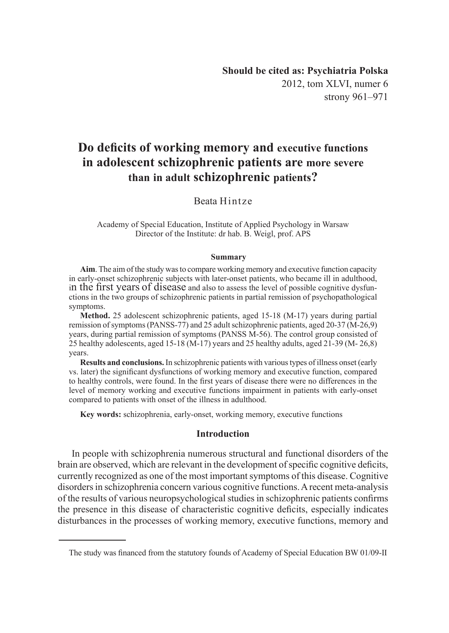# **Do deficits of working memory and executive functions in adolescent schizophrenic patients are more severe than in adult schizophrenic patients?**

# Beata Hintze

Academy of Special Education, Institute of Applied Psychology in Warsaw Director of the Institute: dr hab. B. Weigl, prof. APS

#### **Summary**

**Aim**. The aim of the study was to compare working memory and executive function capacity in early-onset schizophrenic subjects with later-onset patients, who became ill in adulthood, in the first years of disease and also to assess the level of possible cognitive dysfunctions in the two groups of schizophrenic patients in partial remission of psychopathological symptoms.

**Method.** 25 adolescent schizophrenic patients, aged 15-18 (M-17) years during partial remission of symptoms (PANSS-77) and 25 adult schizophrenic patients, aged 20-37 (M-26,9) years, during partial remission of symptoms (PANSS M-56). The control group consisted of 25 healthy adolescents, aged 15-18 (M-17) years and 25 healthy adults, aged 21-39 (M- 26,8) years.

**Results and conclusions.** In schizophrenic patients with various types of illness onset (early vs. later) the significant dysfunctions of working memory and executive function, compared to healthy controls, were found. In the first years of disease there were no differences in the level of memory working and executive functions impairment in patients with early-onset compared to patients with onset of the illness in adulthood.

**Key words:** schizophrenia, early-onset, working memory, executive functions

#### **Introduction**

In people with schizophrenia numerous structural and functional disorders of the brain are observed, which are relevant in the development of specific cognitive deficits, currently recognized as one of the most important symptoms of this disease. Cognitive disorders in schizophrenia concern various cognitive functions. A recent meta-analysis of the results of various neuropsychological studies in schizophrenic patients confirms the presence in this disease of characteristic cognitive deficits, especially indicates disturbances in the processes of working memory, executive functions, memory and

The study was financed from the statutory founds of Academy of Special Education BW 01/09-II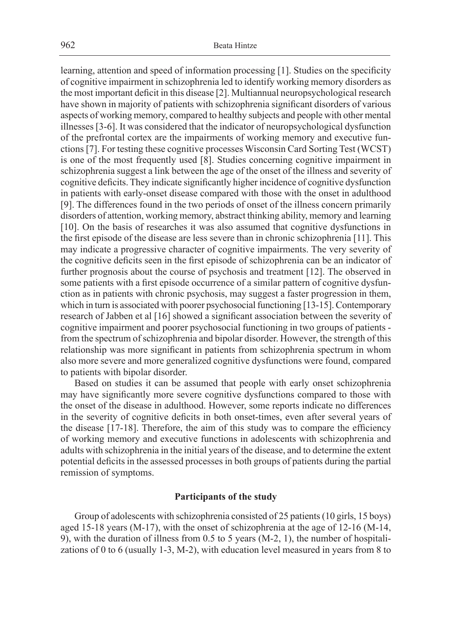learning, attention and speed of information processing [1]. Studies on the specificity of cognitive impairment in schizophrenia led to identify working memory disorders as the most important deficit in this disease [2]. Multiannual neuropsychological research have shown in majority of patients with schizophrenia significant disorders of various aspects of working memory, compared to healthy subjects and people with other mental illnesses [3-6]. It was considered that the indicator of neuropsychological dysfunction of the prefrontal cortex are the impairments of working memory and executive functions [7]. For testing these cognitive processes Wisconsin Card Sorting Test (WCST) is one of the most frequently used [8]. Studies concerning cognitive impairment in schizophrenia suggest a link between the age of the onset of the illness and severity of cognitive deficits. They indicate significantly higher incidence of cognitive dysfunction in patients with early-onset disease compared with those with the onset in adulthood [9]. The differences found in the two periods of onset of the illness concern primarily disorders of attention, working memory, abstract thinking ability, memory and learning [10]. On the basis of researches it was also assumed that cognitive dysfunctions in the first episode of the disease are less severe than in chronic schizophrenia [11]. This may indicate a progressive character of cognitive impairments. The very severity of the cognitive deficits seen in the first episode of schizophrenia can be an indicator of further prognosis about the course of psychosis and treatment [12]. The observed in some patients with a first episode occurrence of a similar pattern of cognitive dysfunction as in patients with chronic psychosis, may suggest a faster progression in them, which in turn is associated with poorer psychosocial functioning [13-15]. Contemporary research of Jabben et al [16] showed a significant association between the severity of cognitive impairment and poorer psychosocial functioning in two groups of patients from the spectrum of schizophrenia and bipolar disorder. However, the strength of this relationship was more significant in patients from schizophrenia spectrum in whom also more severe and more generalized cognitive dysfunctions were found, compared to patients with bipolar disorder.

Based on studies it can be assumed that people with early onset schizophrenia may have significantly more severe cognitive dysfunctions compared to those with the onset of the disease in adulthood. However, some reports indicate no differences in the severity of cognitive deficits in both onset-times, even after several years of the disease [17-18]. Therefore, the aim of this study was to compare the efficiency of working memory and executive functions in adolescents with schizophrenia and adults with schizophrenia in the initial years of the disease, and to determine the extent potential deficits in the assessed processes in both groups of patients during the partial remission of symptoms.

# **Participants of the study**

Group of adolescents with schizophrenia consisted of 25 patients (10 girls, 15 boys) aged 15-18 years (M-17), with the onset of schizophrenia at the age of 12-16 (M-14, 9), with the duration of illness from 0.5 to 5 years (M-2, 1), the number of hospitalizations of 0 to 6 (usually 1-3, M-2), with education level measured in years from 8 to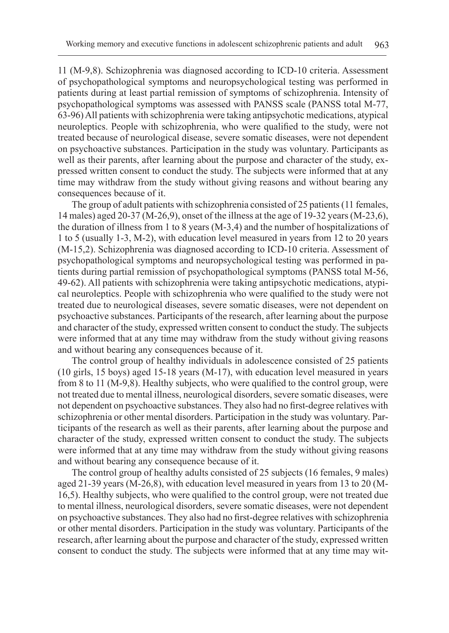11 (M-9,8). Schizophrenia was diagnosed according to ICD-10 criteria. Assessment of psychopathological symptoms and neuropsychological testing was performed in patients during at least partial remission of symptoms of schizophrenia. Intensity of psychopathological symptoms was assessed with PANSS scale (PANSS total M-77, 63-96) All patients with schizophrenia were taking antipsychotic medications, atypical neuroleptics. People with schizophrenia, who were qualified to the study, were not treated because of neurological disease, severe somatic diseases, were not dependent on psychoactive substances. Participation in the study was voluntary. Participants as well as their parents, after learning about the purpose and character of the study, expressed written consent to conduct the study. The subjects were informed that at any time may withdraw from the study without giving reasons and without bearing any consequences because of it.

The group of adult patients with schizophrenia consisted of 25 patients (11 females, 14 males) aged 20-37 (M-26,9), onset of the illness at the age of 19-32 years (M-23,6), the duration of illness from 1 to 8 years (M-3,4) and the number of hospitalizations of 1 to 5 (usually 1-3, M-2), with education level measured in years from 12 to 20 years (M-15,2). Schizophrenia was diagnosed according to ICD-10 criteria. Assessment of psychopathological symptoms and neuropsychological testing was performed in patients during partial remission of psychopathological symptoms (PANSS total M-56, 49-62). All patients with schizophrenia were taking antipsychotic medications, atypical neuroleptics. People with schizophrenia who were qualified to the study were not treated due to neurological diseases, severe somatic diseases, were not dependent on psychoactive substances. Participants of the research, after learning about the purpose and character of the study, expressed written consent to conduct the study. The subjects were informed that at any time may withdraw from the study without giving reasons and without bearing any consequences because of it.

The control group of healthy individuals in adolescence consisted of 25 patients (10 girls, 15 boys) aged 15-18 years (M-17), with education level measured in years from 8 to 11 (M-9,8). Healthy subjects, who were qualified to the control group, were not treated due to mental illness, neurological disorders, severe somatic diseases, were not dependent on psychoactive substances. They also had no first-degree relatives with schizophrenia or other mental disorders. Participation in the study was voluntary. Participants of the research as well as their parents, after learning about the purpose and character of the study, expressed written consent to conduct the study. The subjects were informed that at any time may withdraw from the study without giving reasons and without bearing any consequence because of it.

The control group of healthy adults consisted of 25 subjects (16 females, 9 males) aged 21-39 years (M-26,8), with education level measured in years from 13 to 20 (M-16,5). Healthy subjects, who were qualified to the control group, were not treated due to mental illness, neurological disorders, severe somatic diseases, were not dependent on psychoactive substances. They also had no first-degree relatives with schizophrenia or other mental disorders. Participation in the study was voluntary. Participants of the research, after learning about the purpose and character of the study, expressed written consent to conduct the study. The subjects were informed that at any time may wit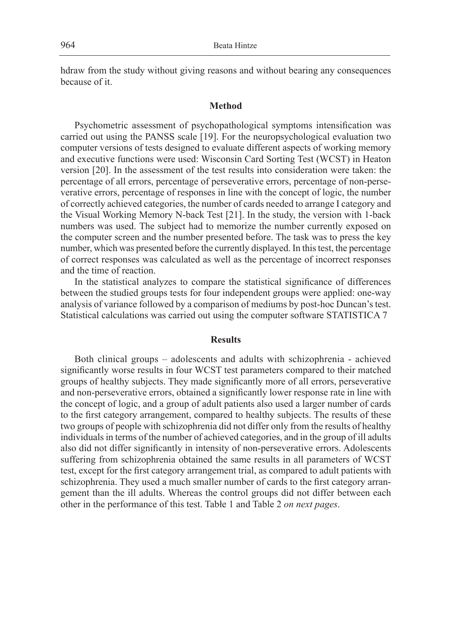hdraw from the study without giving reasons and without bearing any consequences because of it.

# **Method**

Psychometric assessment of psychopathological symptoms intensification was carried out using the PANSS scale [19]. For the neuropsychological evaluation two computer versions of tests designed to evaluate different aspects of working memory and executive functions were used: Wisconsin Card Sorting Test (WCST) in Heaton version [20]. In the assessment of the test results into consideration were taken: the percentage of all errors, percentage of perseverative errors, percentage of non-perseverative errors, percentage of responses in line with the concept of logic, the number of correctly achieved categories, the number of cards needed to arrange I category and the Visual Working Memory N-back Test [21]. In the study, the version with 1-back numbers was used. The subject had to memorize the number currently exposed on the computer screen and the number presented before. The task was to press the key number, which was presented before the currently displayed. In this test, the percentage of correct responses was calculated as well as the percentage of incorrect responses and the time of reaction.

In the statistical analyzes to compare the statistical significance of differences between the studied groups tests for four independent groups were applied: one-way analysis of variance followed by a comparison of mediums by post-hoc Duncan's test. Statistical calculations was carried out using the computer software STATISTICA 7

#### **Results**

Both clinical groups – adolescents and adults with schizophrenia - achieved significantly worse results in four WCST test parameters compared to their matched groups of healthy subjects. They made significantly more of all errors, perseverative and non-perseverative errors, obtained a significantly lower response rate in line with the concept of logic, and a group of adult patients also used a larger number of cards to the first category arrangement, compared to healthy subjects. The results of these two groups of people with schizophrenia did not differ only from the results of healthy individuals in terms of the number of achieved categories, and in the group of ill adults also did not differ significantly in intensity of non-perseverative errors. Adolescents suffering from schizophrenia obtained the same results in all parameters of WCST test, except for the first category arrangement trial, as compared to adult patients with schizophrenia. They used a much smaller number of cards to the first category arrangement than the ill adults. Whereas the control groups did not differ between each other in the performance of this test. Tabłe 1 and Table 2 *on next pages*.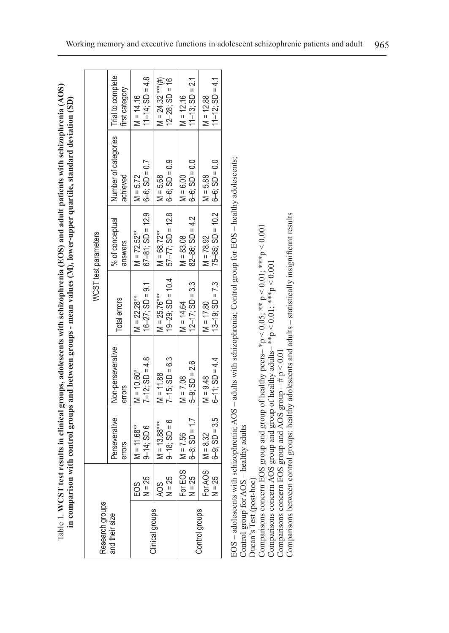Table 1. **WCST test results in clinical groups, adolescents with schizophrenia (EOS) and adult patients with schizophrenia (AOS)**  Table 1. WCST test results in clinical groups, adolescents with schizophrenia (EOS) and adult patients with schizophrenia (AOS) in comparison with control groups and between groups - mean values (M), lower-upper quartile, standard deviation (SD) **in comparison with control groups and between groups - mean values (M), lower-upper quartile, standard deviation (SD)**

|                                   |                                     |                                   |                                   |                                         | WCST test parameters                                       |                                  |                                           |
|-----------------------------------|-------------------------------------|-----------------------------------|-----------------------------------|-----------------------------------------|------------------------------------------------------------|----------------------------------|-------------------------------------------|
| Research groups<br>and their size |                                     | Perseverative<br>errors           | Non-perseverative<br>errors       | Total errors                            | % of conceptual<br>answers                                 | Number of categories<br>achieved | Trial to complete<br>first category       |
|                                   | $EOS$<br>N = 25                     | $9-14$ ; SD 6<br>$M = 11.68***$   | $7-12$ ; SD = 4.8<br>$M = 10.60*$ | $16-27$ ; SD = 9.1<br>$M = 22.28***$    | $67-81$ ; $SD = 12.9$<br>$M = 72.52***$                    | $6-6$ ; SD = 0.7<br>$M = 5.72$   | $11-14$ ; SD = 4.8<br>$M = 14.16$         |
| Clinical groups                   | $AOS$<br>N = 25                     | $9-18$ ; SD = 6<br>$M = 13.88***$ | $7-15$ ; SD = 6.3<br>$M = 11.88$  | $19-29$ ; $SD = 10.4$<br>$M = 25.76***$ | $57-77$ ; $SD = 12.8$ $6-6$ ; $SD = 0.9$<br>$M = 68.72***$ | $M = 5.68$                       | $M = 24.32$ ***(#)<br>$12 - 28$ ; SD = 16 |
|                                   | EOS<br>25<br>For E<br>$\frac{1}{2}$ | $6-8$ ; SD = 1.7<br>$M = 7.56$    | $5-9$ ; $SD = 2.6$<br>$M = 7.08$  | $12-17$ ; SD = 3.3<br>$M = 14.64$       | $82 - 86$ ; SD = 4.2<br>$M = 83.08$                        | $6-6$ ; SD = 0.0<br>$M = 6.00$   | $11-13$ ; SD = 2.1<br>$M = 12.16$         |
| Control groups                    | For AOS<br>25<br>$\frac{1}{2}$      | $6-9$ ; SD = 3.5<br>$M = 8.32$    | $6 - 11$ ; SD = 4.4<br>$M = 9.48$ | $13-19$ ; $SD = 7.3$<br>$M = 17.80$     | $75-85$ ; SD = 10.2 $6-6$ ; SD = 0.0<br>$M = 78.92$        | $M = 5.88$                       | $11 - 12$ ; SD = 4.1<br>$M = 12.88$       |

EOS - adolescents with schizophrenia; AOS - adults with schizophrenia; Control group for EOS - healthy adolescents; EOS – adolescents with schizophrenia; AOS – adults with schizophrenia; Control group for EOS – healthy adolescents; Control group for AOS - healthy adults Control group for AOS – healthy adults

Ducan's Test (post-hoc) Ducan's Test (post-hoc)

Comparisons concern EOS group and group of healthy peers-  ${}^*p < 0.05$ ;  ${}^{**}p < 0.01$ ;  ${}^{***}p < 0.001$ <br>Comparisons concern AOS group and group of healthy adults-  ${}^{**}p < 0.01$ ;  ${}^{***}p < 0.001$ <br>Comparisons concern EOS group Comparisons concern EOS group and group of healthy peers–  $*p < 0.05$ ;  $** p < 0.01$ ;  $**p < 0.001$ Comparisons concern AOS group and group of healthy adults– \*\*p  $\leq 0.01$ ; \*\*p  $\leq 0.001$ 

Comparisons concern EOS group and AOS group  $-$  # p  $<$  0.01

Comparisons between control groups: healthy adolescents and adults - statistically insignificant results Comparisons between control groups: healthy adolescents and adults – statistically insignificant results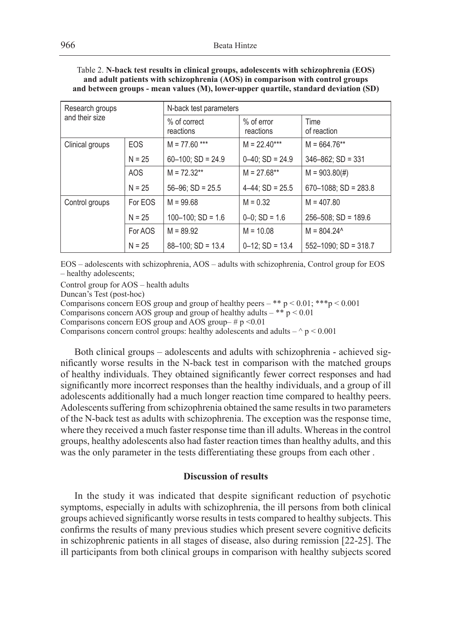| Table 2. N-back test results in clinical groups, adolescents with schizophrenia (EOS) |
|---------------------------------------------------------------------------------------|
| and adult patients with schizophrenia (AOS) in comparison with control groups         |
| and between groups - mean values (M), lower-upper quartile, standard deviation (SD)   |

| Research groups |            | N-back test parameters    |                           |                           |  |
|-----------------|------------|---------------------------|---------------------------|---------------------------|--|
| and their size  |            | % of correct<br>reactions | $%$ of error<br>reactions | Time<br>of reaction       |  |
| Clinical groups | <b>EOS</b> | $M = 77.60$ ***           | $M = 22.40***$            | $M = 664.76***$           |  |
|                 | $N = 25$   | $60-100$ : SD = 24.9      | $0-40$ : SD = 24.9        | $346 - 862$ : SD = 331    |  |
|                 | AOS        | $M = 72.32**$             | $M = 27.68**$             | $M = 903.80(#)$           |  |
|                 | $N = 25$   | $56 - 96$ : SD = 25.5     | $4-44$ : SD = 25.5        | $670 - 1088$ : SD = 283.8 |  |
| Control groups  | For EOS    | $M = 99.68$               | $M = 0.32$                | $M = 407.80$              |  |
|                 | $N = 25$   | $100-100$ : SD = 1.6      | $0-0$ : SD = 1.6          | $256 - 508$ ; SD = 189.6  |  |
|                 | For AOS    | $M = 89.92$               | $M = 10.08$               | $M = 804.24^{\circ}$      |  |
|                 | $N = 25$   | $88 - 100$ : SD = 13.4    | $0-12$ ; SD = 13.4        | $552 - 1090$ ; SD = 318.7 |  |

EOS – adolescents with schizophrenia, AOS – adults with schizophrenia, Control group for EOS – healthy adolescents;

Control group for AOS – health adults

Duncan's Test (post-hoc)

Comparisons concern EOS group and group of healthy peers – \*\*  $p < 0.01$ ; \*\*\*  $p < 0.001$ 

Comparisons concern AOS group and group of healthy adults – \*\*  $p < 0.01$ 

Comparisons concern EOS group and AOS group–  $\# p$  <0.01

Comparisons concern control groups: healthy adolescents and adults  $-\wedge p < 0.001$ 

Both clinical groups – adolescents and adults with schizophrenia - achieved significantly worse results in the N-back test in comparison with the matched groups of healthy individuals. They obtained significantly fewer correct responses and had significantly more incorrect responses than the healthy individuals, and a group of ill adolescents additionally had a much longer reaction time compared to healthy peers. Adolescents suffering from schizophrenia obtained the same results in two parameters of the N-back test as adults with schizophrenia. The exception was the response time, where they received a much faster response time than ill adults. Whereas in the control groups, healthy adolescents also had faster reaction times than healthy adults, and this was the only parameter in the tests differentiating these groups from each other .

# **Discussion of results**

In the study it was indicated that despite significant reduction of psychotic symptoms, especially in adults with schizophrenia, the ill persons from both clinical groups achieved significantly worse results in tests compared to healthy subjects. This confirms the results of many previous studies which present severe cognitive deficits in schizophrenic patients in all stages of disease, also during remission [22-25]. The ill participants from both clinical groups in comparison with healthy subjects scored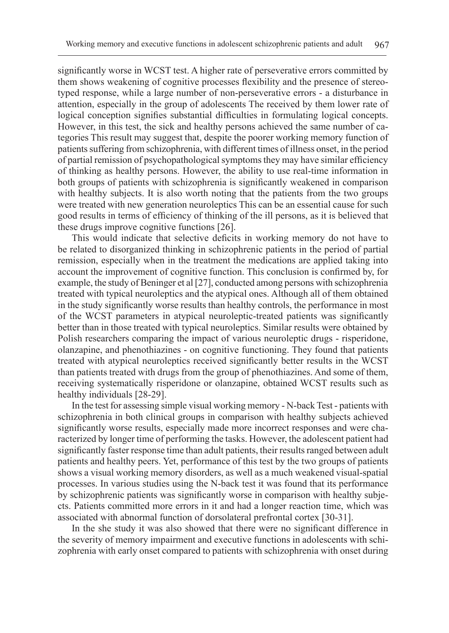significantly worse in WCST test. A higher rate of perseverative errors committed by them shows weakening of cognitive processes flexibility and the presence of stereotyped response, while a large number of non-perseverative errors - a disturbance in attention, especially in the group of adolescents The received by them lower rate of logical conception signifies substantial difficulties in formulating logical concepts. However, in this test, the sick and healthy persons achieved the same number of categories This result may suggest that, despite the poorer working memory function of patients suffering from schizophrenia, with different times of illness onset, in the period of partial remission of psychopathological symptoms they may have similar efficiency of thinking as healthy persons. However, the ability to use real-time information in both groups of patients with schizophrenia is significantly weakened in comparison with healthy subjects. It is also worth noting that the patients from the two groups were treated with new generation neuroleptics This can be an essential cause for such good results in terms of efficiency of thinking of the ill persons, as it is believed that these drugs improve cognitive functions [26].

This would indicate that selective deficits in working memory do not have to be related to disorganized thinking in schizophrenic patients in the period of partial remission, especially when in the treatment the medications are applied taking into account the improvement of cognitive function. This conclusion is confirmed by, for example, the study of Beninger et al [27], conducted among persons with schizophrenia treated with typical neuroleptics and the atypical ones. Although all of them obtained in the study significantly worse results than healthy controls, the performance in most of the WCST parameters in atypical neuroleptic-treated patients was significantly better than in those treated with typical neuroleptics. Similar results were obtained by Polish researchers comparing the impact of various neuroleptic drugs - risperidone, olanzapine, and phenothiazines - on cognitive functioning. They found that patients treated with atypical neuroleptics received significantly better results in the WCST than patients treated with drugs from the group of phenothiazines. And some of them, receiving systematically risperidone or olanzapine, obtained WCST results such as healthy individuals [28-29].

In the test for assessing simple visual working memory - N-back Test - patients with schizophrenia in both clinical groups in comparison with healthy subjects achieved significantly worse results, especially made more incorrect responses and were characterized by longer time of performing the tasks. However, the adolescent patient had significantly faster response time than adult patients, their results ranged between adult patients and healthy peers. Yet, performance of this test by the two groups of patients shows a visual working memory disorders, as well as a much weakened visual-spatial processes. In various studies using the N-back test it was found that its performance by schizophrenic patients was significantly worse in comparison with healthy subjects. Patients committed more errors in it and had a longer reaction time, which was associated with abnormal function of dorsolateral prefrontal cortex [30-31].

In the she study it was also showed that there were no significant difference in the severity of memory impairment and executive functions in adolescents with schizophrenia with early onset compared to patients with schizophrenia with onset during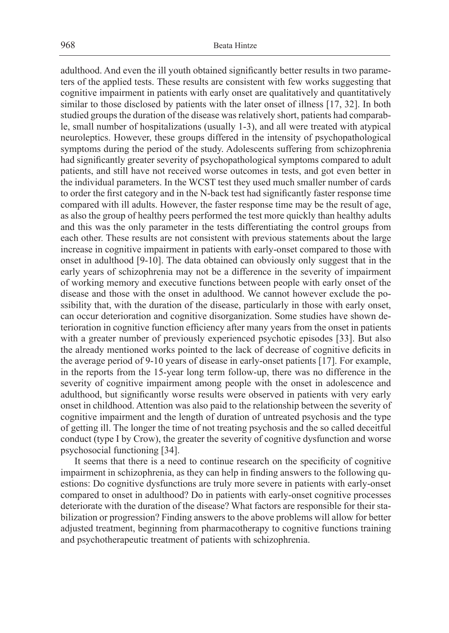adulthood. And even the ill youth obtained significantly better results in two parameters of the applied tests. These results are consistent with few works suggesting that cognitive impairment in patients with early onset are qualitatively and quantitatively similar to those disclosed by patients with the later onset of illness [17, 32]. In both studied groups the duration of the disease was relatively short, patients had comparable, small number of hospitalizations (usually 1-3), and all were treated with atypical neuroleptics. However, these groups differed in the intensity of psychopathological symptoms during the period of the study. Adolescents suffering from schizophrenia had significantly greater severity of psychopathological symptoms compared to adult patients, and still have not received worse outcomes in tests, and got even better in the individual parameters. In the WCST test they used much smaller number of cards to order the first category and in the N-back test had significantly faster response time compared with ill adults. However, the faster response time may be the result of age, as also the group of healthy peers performed the test more quickly than healthy adults and this was the only parameter in the tests differentiating the control groups from each other. These results are not consistent with previous statements about the large increase in cognitive impairment in patients with early-onset compared to those with onset in adulthood [9-10]. The data obtained can obviously only suggest that in the early years of schizophrenia may not be a difference in the severity of impairment of working memory and executive functions between people with early onset of the disease and those with the onset in adulthood. We cannot however exclude the possibility that, with the duration of the disease, particularly in those with early onset, can occur deterioration and cognitive disorganization. Some studies have shown deterioration in cognitive function efficiency after many years from the onset in patients with a greater number of previously experienced psychotic episodes [33]. But also the already mentioned works pointed to the lack of decrease of cognitive deficits in the average period of 9-10 years of disease in early-onset patients [17]. For example, in the reports from the 15-year long term follow-up, there was no difference in the severity of cognitive impairment among people with the onset in adolescence and adulthood, but significantly worse results were observed in patients with very early onset in childhood. Attention was also paid to the relationship between the severity of cognitive impairment and the length of duration of untreated psychosis and the type of getting ill. The longer the time of not treating psychosis and the so called deceitful conduct (type I by Crow), the greater the severity of cognitive dysfunction and worse psychosocial functioning [34].

It seems that there is a need to continue research on the specificity of cognitive impairment in schizophrenia, as they can help in finding answers to the following questions: Do cognitive dysfunctions are truly more severe in patients with early-onset compared to onset in adulthood? Do in patients with early-onset cognitive processes deteriorate with the duration of the disease? What factors are responsible for their stabilization or progression? Finding answers to the above problems will allow for better adjusted treatment, beginning from pharmacotherapy to cognitive functions training and psychotherapeutic treatment of patients with schizophrenia.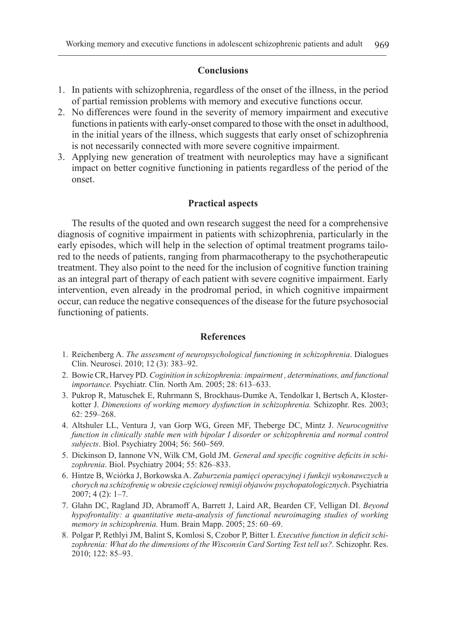### **Conclusions**

- 1. In patients with schizophrenia, regardless of the onset of the illness, in the period of partial remission problems with memory and executive functions occur.
- 2. No differences were found in the severity of memory impairment and executive functions in patients with early-onset compared to those with the onset in adulthood, in the initial years of the illness, which suggests that early onset of schizophrenia is not necessarily connected with more severe cognitive impairment.
- 3. Applying new generation of treatment with neuroleptics may have a significant impact on better cognitive functioning in patients regardless of the period of the onset.

# **Practical aspects**

The results of the quoted and own research suggest the need for a comprehensive diagnosis of cognitive impairment in patients with schizophrenia, particularly in the early episodes, which will help in the selection of optimal treatment programs tailored to the needs of patients, ranging from pharmacotherapy to the psychotherapeutic treatment. They also point to the need for the inclusion of cognitive function training as an integral part of therapy of each patient with severe cognitive impairment. Early intervention, even already in the prodromal period, in which cognitive impairment occur, can reduce the negative consequences of the disease for the future psychosocial functioning of patients.

# **References**

- 1. Reichenberg A. *The assesment of neuropsychological functioning in schizophrenia*. Dialogues Clin. Neurosci. 2010; 12 (3): 383–92.
- 2. Bowie CR, Harvey PD. *Coginition in schizophrenia: impairment , determinations, and functional importance.* Psychiatr. Clin. North Am. 2005; 28: 613–633.
- 3. Pukrop R, Matuschek E, Ruhrmann S, Brockhaus-Dumke A, Tendolkar I, Bertsch A, Klosterkotter J. *Dimensions of working memory dysfunction in schizophrenia.* Schizophr. Res. 2003; 62: 259–268.
- 4. Altshuler LL, Ventura J, van Gorp WG, Green MF, Theberge DC, Mintz J. *Neurocognitive function in clinically stable men with bipolar I disorder or schizophrenia and normal control subjects*. Biol. Psychiatry 2004; 56: 560–569.
- 5. Dickinson D, Iannone VN, Wilk CM, Gold JM. *General and specific cognitive deficits in schizophrenia*. Biol. Psychiatry 2004; 55: 826–833.
- 6. Hintze B, Wciórka J, Borkowska A. *Zaburzenia pamięci operacyjnej i funkcji wykonawczych u chorych na schizofrenię w okresie częściowej remisji objawów psychopatologicznych*. Psychiatria 2007; 4 (2): 1–7.
- 7. Glahn DC, Ragland JD, Abramoff A, Barrett J, Laird AR, Bearden CF, Velligan DI. *Beyond hypofrontality: a quantitative meta-analysis of functional neuroimaging studies of working memory in schizophrenia.* Hum. Brain Mapp. 2005; 25: 60–69.
- 8. Polgar P, Rethlyi JM, Balint S, Komlosi S, Czobor P, Bitter I. *Executive function in deficit schizophrenia: What do the dimensions of the Wisconsin Card Sorting Test tell us?.* Schizophr. Res. 2010; 122: 85–93.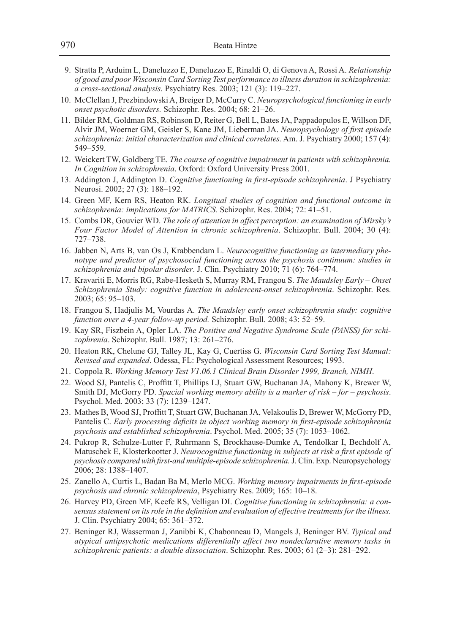- 9. Stratta P, Arduim L, Daneluzzo E, Daneluzzo E, Rinaldi O, di Genova A, Rossi A. *Relationship of good and poor Wisconsin Card Sorting Test performance to illness duration in schizophrenia: a cross-sectional analysis.* Psychiatry Res. 2003; 121 (3): 119–227.
- 10. McClellan J, Prezbindowski A, Breiger D, McCurry C. *Neuropsychological functioning in early onset psychotic disorders.* Schizophr. Res. 2004; 68: 21–26.
- 11. Bilder RM, Goldman RS, Robinson D, Reiter G, Bell L, Bates JA, Pappadopulos E, Willson DF, Alvir JM, Woerner GM, Geisler S, Kane JM, Lieberman JA. *Neuropsychology of first episode schizophrenia: initial characterization and clinical correlates.* Am. J. Psychiatry 2000; 157 (4): 549–559.
- 12. Weickert TW, Goldberg TE. *The course of cognitive impairment in patients with schizophrenia. In Cognition in schizophrenia*. Oxford: Oxford University Press 2001.
- 13. Addington J, Addington D. *Cognitive functioning in first-episode schizophrenia*. J Psychiatry Neurosi. 2002; 27 (3): 188–192.
- 14. Green MF, Kern RS, Heaton RK. *Longitual studies of cognition and functional outcome in schizophrenia: implications for MATRICS.* Schizophr. Res. 2004; 72: 41–51.
- 15. Combs DR, Gouvier WD. *The role of attention in affect perception: an examination of Mirsky's Four Factor Model of Attention in chronic schizophrenia*. Schizophr. Bull. 2004; 30 (4): 727–738.
- 16. Jabben N, Arts B, van Os J, Krabbendam L. *Neurocognitive functioning as intermediary phenotype and predictor of psychosocial functioning across the psychosis continuum: studies in schizophrenia and bipolar disorder*. J. Clin. Psychiatry 2010; 71 (6): 764–774.
- 17. Kravariti E, Morris RG, Rabe-Hesketh S, Murray RM, Frangou S. *The Maudsley Early Onset Schizophrenia Study: cognitive function in adolescent-onset schizophrenia*. Schizophr. Res. 2003; 65: 95–103.
- 18. Frangou S, Hadjulis M, Vourdas A. *The Maudsley early onset schizophrenia study: cognitive function over a 4-year follow-up period.* Schizophr. Bull. 2008; 43: 52–59.
- 19. Kay SR, Fiszbein A, Opler LA. *The Positive and Negative Syndrome Scale (PANSS) for schizophrenia*. Schizophr. Bull. 1987; 13: 261–276.
- 20. Heaton RK, Chelune GJ, Talley JL, Kay G, Cuertiss G. *Wisconsin Card Sorting Test Manual: Revised and expanded*. Odessa, FL: Psychological Assessment Resources; 1993.
- 21. Coppola R. *Working Memory Test V1.06.1 Clinical Brain Disorder 1999, Branch, NIMH*.
- 22. Wood SJ, Pantelis C, Proffitt T, Phillips LJ, Stuart GW, Buchanan JA, Mahony K, Brewer W, Smith DJ, McGorry PD. *Spacial working memory ability is a marker of risk – for – psychosis*. Psychol. Med. 2003; 33 (7): 1239–1247.
- 23. Mathes B, Wood SJ, Proffitt T, Stuart GW, Buchanan JA, Velakoulis D, Brewer W, McGorry PD, Pantelis C. *Early processing deficits in object working memory in first-episode schizophrenia psychosis and established schizophrenia*. Psychol. Med. 2005; 35 (7): 1053–1062.
- 24. Pukrop R, Schulze-Lutter F, Ruhrmann S, Brockhause-Dumke A, Tendolkar I, Bechdolf A, Matuschek E, Klosterkootter J. *Neurocognitive functioning in subjects at risk a first episode of psychosis compared with first-and multiple-episode schizophrenia.* J. Clin. Exp. Neuropsychology 2006; 28: 1388–1407.
- 25. Zanello A, Curtis L, Badan Ba M, Merlo MCG. *Working memory impairments in first-episode psychosis and chronic schizophrenia*, Psychiatry Res. 2009; 165: 10–18.
- 26. Harvey PD, Green MF, Keefe RS, Velligan DI. *Cognitive functioning in schizophrenia: a consensus statement on its role in the definition and evaluation of effective treatments for the illness.*  J. Clin. Psychiatry 2004; 65: 361–372.
- 27. Beninger RJ, Wasserman J, Zanibbi K, Chabonneau D, Mangels J, Beninger BV. *Typical and atypical antipsychotic medications differentially affect two nondeclarative memory tasks in schizophrenic patients: a double dissociation*. Schizophr. Res. 2003; 61 (2–3): 281–292.